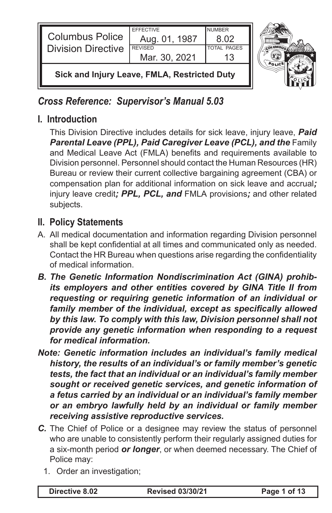| ┃<br><b>Columbus Police</b><br><b>Division Directive</b> | <b>EFFECTIVE</b><br>Aug. 01, 1987<br><b>REVISED</b><br>Mar. 30, 2021 | <b>NUMBER</b><br>8.02<br><b>TOTAL PAGES</b> |  |
|----------------------------------------------------------|----------------------------------------------------------------------|---------------------------------------------|--|
| Sick and Injury Leave, FMLA, Restricted Duty             |                                                                      |                                             |  |

*Cross Reference: Supervisor's Manual 5.03*

## **I. Introduction**

This Division Directive includes details for sick leave, injury leave, *Paid*  **Parental Leave (PPL), Paid Caregiver Leave (PCL), and the Family** and Medical Leave Act (FMLA) benefits and requirements available to Division personnel. Personnel should contact the Human Resources (HR) Bureau or review their current collective bargaining agreement (CBA) or compensation plan for additional information on sick leave and accrual*;* injury leave credit*; PPL, PCL, and* FMLA provisions*;* and other related subjects.

# **II. Policy Statements**

- A. All medical documentation and information regarding Division personnel shall be kept confidential at all times and communicated only as needed. Contact the HR Bureau when questions arise regarding the confidentiality of medical information.
- *B. The Genetic Information Nondiscrimination Act (GINA) prohibits employers and other entities covered by GINA Title II from requesting or requiring genetic information of an individual or family member of the individual, except as specifically allowed by this law. To comply with this law, Division personnel shall not provide any genetic information when responding to a request for medical information.*
- *Note: Genetic information includes an individual's family medical history, the results of an individual's or family member's genetic tests, the fact that an individual or an individual's family member sought or received genetic services, and genetic information of a fetus carried by an individual or an individual's family member or an embryo lawfully held by an individual or family member receiving assistive reproductive services.*
- *C.* The Chief of Police or a designee may review the status of personnel who are unable to consistently perform their regularly assigned duties for a six-month period *or longer*, or when deemed necessary. The Chief of Police may:
	- 1. Order an investigation;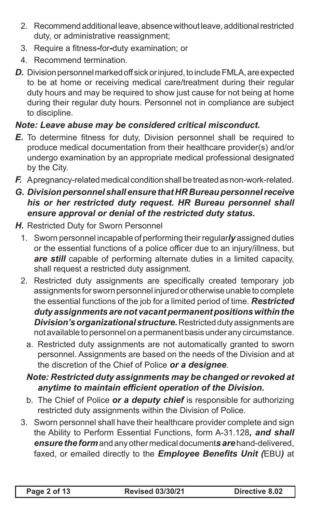- 2. Recommend additional leave, absence without leave, additional restricted duty, or administrative reassignment;
- 3. Require a fitness*-*for*-*duty examination; or
- 4. Recommend termination.
- *D.* Division personnel marked off sick or injured, to include FMLA, are expected to be at home or receiving medical care/treatment during their regular duty hours and may be required to show just cause for not being at home during their regular duty hours. Personnel not in compliance are subject to discipline.

#### *Note: Leave abuse may be considered critical misconduct.*

- *E.* To determine fitness for duty, Division personnel shall be required to produce medical documentation from their healthcare provider(s) and/or undergo examination by an appropriate medical professional designated by the City.
- *F.* A pregnancy-related medical condition shall be treated as non-work-related.

#### *G. Division personnel shall ensure that HR Bureau personnel receive his or her restricted duty request. HR Bureau personnel shall ensure approval or denial of the restricted duty status.*

- *H.* Restricted Duty for Sworn Personnel
	- 1. Sworn personnel incapable of performing their regular*ly* assigned duties or the essential functions of a police officer due to an injury/illness, but *are still* capable of performing alternate duties in a limited capacity, shall request a restricted duty assignment.
	- 2. Restricted duty assignments are specifically created temporary job assignments for sworn personnel injured or otherwise unable to complete the essential functions of the job for a limited period of time. *Restricted duty assignments are not vacant permanent positions within the Division's organizational structure.* Restricted duty assignments are not available to personnel on a permanent basis under any circumstance.
		- a. Restricted duty assignments are not automatically granted to sworn personnel. Assignments are based on the needs of the Division and at the discretion of the Chief of Police *or a designee*.

#### *Note: Restricted duty assignments may be changed or revoked at anytime to maintain efficient operation of the Division.*

- b. The Chief of Police *or a deputy chief* is responsible for authorizing restricted duty assignments within the Division of Police.
- 3. Sworn personnel shall have their healthcare provider complete and sign the Ability to Perform Essential Functions, form A-31.128*, and shall ensure the form* and any other medical document*s are* hand-delivered, faxed, or emailed directly to the *Employee Benefits Unit (*EBU*)* at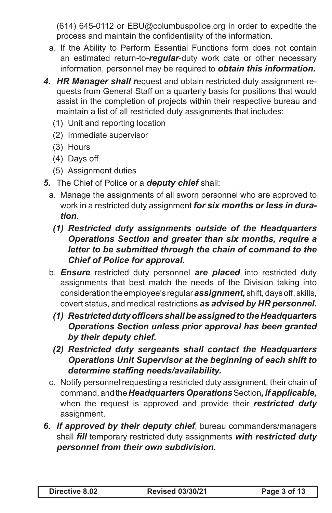(614) 645-0112 or EBU@columbuspolice.org in order to expedite the process and maintain the confidentiality of the information.

- a. If the Ability to Perform Essential Functions form does not contain an estimated return*-*to*-regular*-duty work date or other necessary information, personnel may be required to *obtain this information.*
- *4. HR Manager shall r*equest and obtain restricted duty assignment requests from General Staff on a quarterly basis for positions that would assist in the completion of projects within their respective bureau and maintain a list of all restricted duty assignments that includes:
	- (1) Unit and reporting location
	- (2) Immediate supervisor
	- (3) Hours
	- (4) Days off
	- (5) Assignment duties
- *5.* The Chief of Police or a *deputy chief* shall:
	- a. Manage the assignments of all sworn personnel who are approved to work in a restricted duty assignment *for six months or less in duration*.
	- *(1) Restricted duty assignments outside of the Headquarters Operations Section and greater than six months, require a letter to be submitted through the chain of command to the Chief of Police for approval.*
	- b. *Ensure* restricted duty personnel *are placed* into restricted duty assignments that best match the needs of the Division taking into consideration the employee's regular *assignment,* shift, days off, skills, covert status, and medical restrictions *as advised by HR personnel.*
		- *(1) Restricted duty officers shall be assigned to the Headquarters Operations Section unless prior approval has been granted by their deputy chief.*
		- *(2) Restricted duty sergeants shall contact the Headquarters Operations Unit Supervisor at the beginning of each shift to determine staffing needs/availability.*
	- c. Notify personnel requesting a restricted duty assignment, their chain of command, and the *Headquarters Operations* Section*, if applicable,* when the request is approved and provide their *restricted duty*  assignment.
- *6. If approved by their deputy chief*, bureau commanders/managers shall *fill* temporary restricted duty assignments *with restricted duty personnel from their own subdivision.*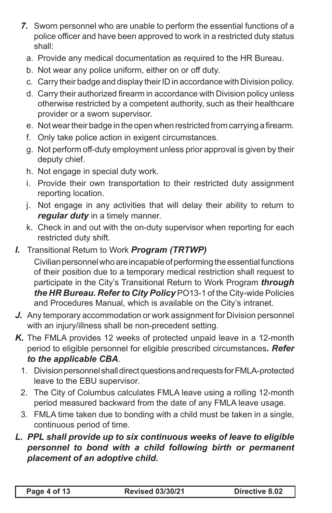- *7.* Sworn personnel who are unable to perform the essential functions of a police officer and have been approved to work in a restricted duty status shall:
	- a. Provide any medical documentation as required to the HR Bureau.
	- b. Not wear any police uniform, either on or off duty.
	- c. Carry their badge and display their ID in accordance with Division policy.
	- d. Carry their authorized firearm in accordance with Division policy unless otherwise restricted by a competent authority, such as their healthcare provider or a sworn supervisor.
	- e. Not wear their badge in the open when restricted from carrying a firearm.
	- f. Only take police action in exigent circumstances.
	- g. Not perform off-duty employment unless prior approval is given by their deputy chief.
	- h. Not engage in special duty work.
	- i. Provide their own transportation to their restricted duty assignment reporting location.
	- j. Not engage in any activities that will delay their ability to return to *regular duty* in a timely manner.
	- k. Check in and out with the on-duty supervisor when reporting for each restricted duty shift.
- *I.* Transitional Return to Work *Program (TRTWP)*

Civilian personnel who are incapable of performing the essential functions of their position due to a temporary medical restriction shall request to participate in the City's Transitional Return to Work Program *through the HR Bureau. Refer to City Policy* PO13-1 of the City-wide Policies and Procedures Manual, which is available on the City's intranet.

- *J.* Any temporary accommodation or work assignment for Division personnel with an injury/illness shall be non-precedent setting.
- *K.* The FMLA provides 12 weeks of protected unpaid leave in a 12-month period to eligible personnel for eligible prescribed circumstances*. Refer to the applicable CBA*.
	- 1. Division personnel shall direct questions and requests for FMLA-protected leave to the EBU supervisor.
	- 2. The City of Columbus calculates FMLA leave using a rolling 12-month period measured backward from the date of any FMLA leave usage.
	- 3. FMLA time taken due to bonding with a child must be taken in a single, continuous period of time.
- *L. PPL shall provide up to six continuous weeks of leave to eligible personnel to bond with a child following birth or permanent placement of an adoptive child.*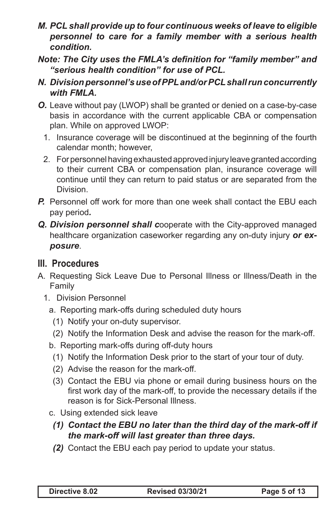- *M. PCL shall provide up to four continuous weeks of leave to eligible personnel to care for a family member with a serious health condition.*
- *Note: The City uses the FMLA's definition for "family member" and "serious health condition" for use of PCL.*
- *N. Division personnel's use of PPL and/or PCL shall run concurrently with FMLA.*
- *O.* Leave without pay (LWOP) shall be granted or denied on a case-by-case basis in accordance with the current applicable CBA or compensation plan. While on approved LWOP:
	- 1. Insurance coverage will be discontinued at the beginning of the fourth calendar month; however,
	- 2. For personnel having exhausted approved injury leave granted according to their current CBA or compensation plan, insurance coverage will continue until they can return to paid status or are separated from the Division.
- *P.* Personnel off work for more than one week shall contact the EBU each pay period*.*
- *Q. Division personnel shall c*ooperate with the City-approved managed healthcare organization caseworker regarding any on-duty injury *or exposure*.

### **III. Procedures**

- A. Requesting Sick Leave Due to Personal Illness or Illness/Death in the Family
	- 1. Division Personnel
		- a. Reporting mark-offs during scheduled duty hours
			- (1) Notify your on-duty supervisor.
			- (2) Notify the Information Desk and advise the reason for the mark-off.
		- b. Reporting mark-offs during off-duty hours
			- (1) Notify the Information Desk prior to the start of your tour of duty.
			- (2) Advise the reason for the mark-off.
			- (3) Contact the EBU via phone or email during business hours on the first work day of the mark-off, to provide the necessary details if the reason is for Sick-Personal Illness.
		- c. Using extended sick leave
			- *(1) Contact the EBU no later than the third day of the mark-off if the mark-off will last greater than three days.*
			- *(2)* Contact the EBU each pay period to update your status.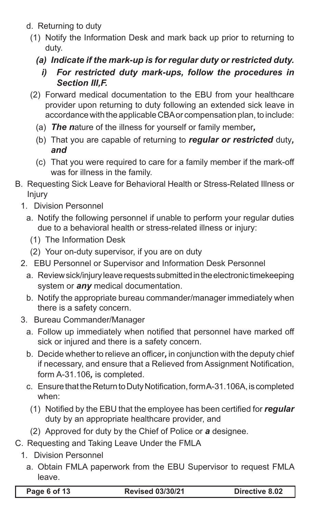- d. Returning to duty
	- (1) Notify the Information Desk and mark back up prior to returning to duty.
		- *(a) Indicate if the mark-up is for regular duty or restricted duty.*
			- *i) For restricted duty mark-ups, follow the procedures in Section III,F.*
	- (2) Forward medical documentation to the EBU from your healthcare provider upon returning to duty following an extended sick leave in accordance with the applicable CBA or compensation plan, to include:
		- (a) *The n*ature of the illness for yourself or family member*,*
		- (b) That you are capable of returning to *regular or restricted* duty*, and*
		- (c) That you were required to care for a family member if the mark-off was for illness in the family.
- B. Requesting Sick Leave for Behavioral Health or Stress-Related Illness or Injury
	- 1. Division Personnel
		- a. Notify the following personnel if unable to perform your regular duties due to a behavioral health or stress-related illness or injury:
			- (1) The Information Desk
			- (2) Your on-duty supervisor, if you are on duty
	- 2. EBU Personnel or Supervisor and Information Desk Personnel
		- a. Review sick/injury leave requests submitted in the electronic timekeeping system or *any* medical documentation.
		- b. Notify the appropriate bureau commander/manager immediately when there is a safety concern.
	- 3. Bureau Commander/Manager
		- a. Follow up immediately when notified that personnel have marked off sick or injured and there is a safety concern.
		- b. Decide whether to relieve an officer*,* in conjunction with the deputy chief if necessary, and ensure that a Relieved from Assignment Notification, form A-31.106*,* is completed.
		- c. Ensure that the Return to Duty Notification, form A-31.106A, is completed when:
			- (1) Notified by the EBU that the employee has been certified for *regular*  duty by an appropriate healthcare provider, and
			- (2) Approved for duty by the Chief of Police or *a* designee.
- C. Requesting and Taking Leave Under the FMLA
	- 1. Division Personnel
		- a. Obtain FMLA paperwork from the EBU Supervisor to request FMLA leave.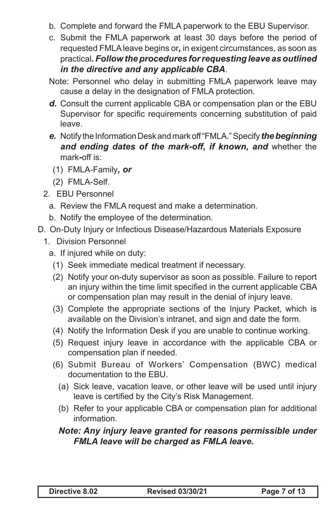- b. Complete and forward the FMLA paperwork to the EBU Supervisor.
- c. Submit the FMLA paperwork at least 30 days before the period of requested FMLA leave begins or*,* in exigent circumstances, as soon as practical*. Follow the procedures for requesting leave as outlined in the directive and any applicable CBA*.
- Note: Personnel who delay in submitting FMLA paperwork leave may cause a delay in the designation of FMLA protection.
- *d.* Consult the current applicable CBA or compensation plan or the EBU Supervisor for specific requirements concerning substitution of paid leave.
- *e.* Notify the Information Desk and mark off "FMLA." Specify *the beginning and ending dates of the mark-off, if known, and* whether the mark*-*off is:
	- (1) FMLA-Family*, or*
- (2) FMLA-Self.
- 2. EBU Personnel
	- a. Review the FMLA request and make a determination.
	- b. Notify the employee of the determination.
- D. On-Duty Injury or Infectious Disease/Hazardous Materials Exposure
	- 1. Division Personnel
		- a. If injured while on duty:
			- (1) Seek immediate medical treatment if necessary.
			- (2) Notify your on-duty supervisor as soon as possible. Failure to report an injury within the time limit specified in the current applicable CBA or compensation plan may result in the denial of injury leave.
			- (3) Complete the appropriate sections of the Injury Packet, which is available on the Division's intranet, and sign and date the form.
			- (4) Notify the Information Desk if you are unable to continue working.
			- (5) Request injury leave in accordance with the applicable CBA or compensation plan if needed.
			- (6) Submit Bureau of Workers' Compensation (BWC) medical documentation to the EBU.
				- (a) Sick leave, vacation leave, or other leave will be used until injury leave is certified by the City's Risk Management.
				- (b) Refer to your applicable CBA or compensation plan for additional information.

#### *Note: Any injury leave granted for reasons permissible under FMLA leave will be charged as FMLA leave.*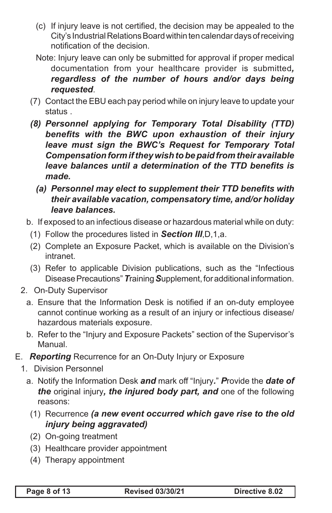- (c) If injury leave is not certified, the decision may be appealed to the City's Industrial Relations Board within ten calendar days of receiving notification of the decision.
- Note: Injury leave can only be submitted for approval if proper medical documentation from your healthcare provider is submitted*, regardless of the number of hours and/or days being requested*.
- (7) Contact the EBU each pay period while on injury leave to update your status .
- *(8) Personnel applying for Temporary Total Disability (TTD) benefits with the BWC upon exhaustion of their injury leave must sign the BWC's Request for Temporary Total Compensation form if they wish to be paid from their available leave balances until a determination of the TTD benefits is made.*
	- *(a) Personnel may elect to supplement their TTD benefits with their available vacation, compensatory time, and/or holiday leave balances.*
- b. If exposed to an infectious disease or hazardous material while on duty:
	- (1) Follow the procedures listed in *Section III*,D,1,a.
	- (2) Complete an Exposure Packet, which is available on the Division's intranet.
	- (3) Refer to applicable Division publications, such as the "Infectious Disease Precautions" *T*raining *S*upplement, for additional information.
- 2. On-Duty Supervisor
	- a. Ensure that the Information Desk is notified if an on-duty employee cannot continue working as a result of an injury or infectious disease/ hazardous materials exposure.
	- b. Refer to the "Injury and Exposure Packets" section of the Supervisor's Manual.
- E. *Reporting* Recurrence for an On-Duty Injury or Exposure
	- 1. Division Personnel
		- a. Notify the Information Desk *and* mark off "Injury*.*" *P*rovide the *date of the* original injury*, the injured body part, and* one of the following reasons:
			- (1) Recurrence *(a new event occurred which gave rise to the old injury being aggravated)*
			- (2) On-going treatment
			- (3) Healthcare provider appointment
			- (4) Therapy appointment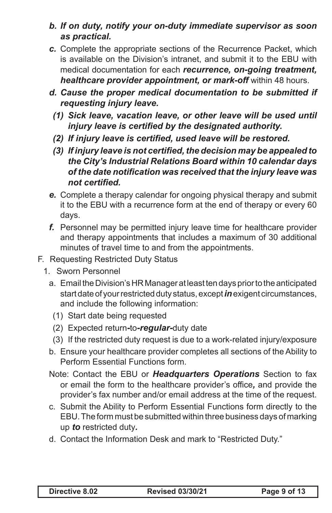- *b. If on duty, notify your on-duty immediate supervisor as soon as practical.*
- *c.* Complete the appropriate sections of the Recurrence Packet, which is available on the Division's intranet, and submit it to the EBU with medical documentation for each *recurrence, on-going treatment, healthcare provider appointment, or mark-off within 48 hours.*
- *d. Cause the proper medical documentation to be submitted if requesting injury leave.*
	- *(1) Sick leave, vacation leave, or other leave will be used until injury leave is certified by the designated authority.*
	- *(2) If injury leave is certified, used leave will be restored.*
	- *(3) If injury leave is not certified, the decision may be appealed to the City's Industrial Relations Board within 10 calendar days of the date notification was received that the injury leave was not certified.*
- *e.* Complete a therapy calendar for ongoing physical therapy and submit it to the EBU with a recurrence form at the end of therapy or every 60 days.
- *f.* Personnel may be permitted injury leave time for healthcare provider and therapy appointments that includes a maximum of 30 additional minutes of travel time to and from the appointments.
- F. Requesting Restricted Duty Status
	- 1. Sworn Personnel
		- a. Email the Division's HR Manager at least ten days prior to the anticipated start date of your restricted duty status, except *in* exigent circumstances, and include the following information:
			- (1) Start date being requested
			- (2) Expected return*-*to*-regular-*duty date
			- (3) If the restricted duty request is due to a work-related injury/exposure
		- b. Ensure your healthcare provider completes all sections of the Ability to Perform Essential Functions form.
		- Note: Contact the EBU or *Headquarters Operations* Section to fax or email the form to the healthcare provider's office*,* and provide the provider's fax number and/or email address at the time of the request.
		- c. Submit the Ability to Perform Essential Functions form directly to the EBU. The form must be submitted within three business days of marking up *to* restricted duty*.*
		- d. Contact the Information Desk and mark to "Restricted Duty."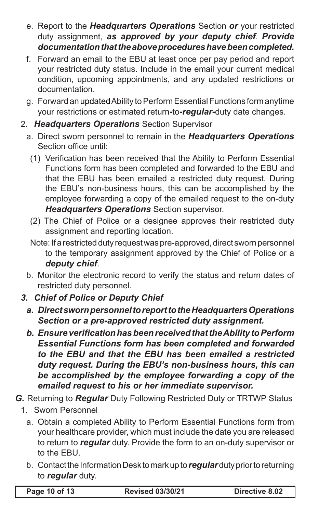- e. Report to the *Headquarters Operations* Section *or* your restricted duty assignment, *as approved by your deputy chief*. *Provide documentation that the above procedures have been completed.*
- f. Forward an email to the EBU at least once per pay period and report your restricted duty status. Include in the email your current medical condition, upcoming appointments, and any updated restrictions or documentation.
- g. Forward an updated Ability to Perform Essential Functions form anytime your restrictions or estimated return*-*to*-regular-*duty date changes.
- 2. *Headquarters Operations* Section Supervisor
	- a. Direct sworn personnel to remain in the *Headquarters Operations*  Section office until:
		- (1) Verification has been received that the Ability to Perform Essential Functions form has been completed and forwarded to the EBU and that the EBU has been emailed a restricted duty request. During the EBU's non-business hours, this can be accomplished by the employee forwarding a copy of the emailed request to the on-duty *Headquarters Operations* Section supervisor.
		- (2) The Chief of Police or a designee approves their restricted duty assignment and reporting location.
		- Note: If a restricted duty request was pre-approved, direct sworn personnel to the temporary assignment approved by the Chief of Police or a *deputy chief*.
	- b. Monitor the electronic record to verify the status and return dates of restricted duty personnel.
- *3. Chief of Police or Deputy Chief*
	- *a. Direct sworn personnel to report to the Headquarters Operations Section or a pre-approved restricted duty assignment.*
	- *b. Ensure verification has been received that the Ability to Perform Essential Functions form has been completed and forwarded to the EBU and that the EBU has been emailed a restricted duty request. During the EBU's non-business hours, this can be accomplished by the employee forwarding a copy of the emailed request to his or her immediate supervisor.*
- *G.* Returning to *Regular* Duty Following Restricted Duty or TRTWP Status
	- 1. Sworn Personnel
		- a. Obtain a completed Ability to Perform Essential Functions form from your healthcare provider, which must include the date you are released to return to *regular* duty. Provide the form to an on-duty supervisor or to the EBU.
		- b. Contact the Information Desk to mark up to *regular* duty prior to returning to *regular* duty.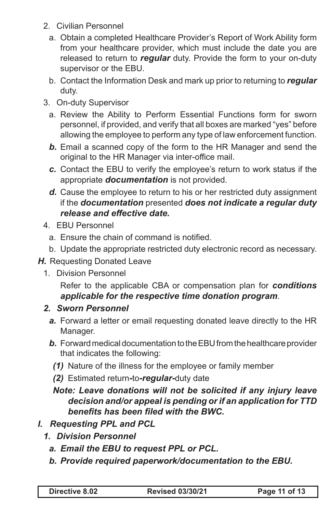- 2. Civilian Personnel
	- a. Obtain a completed Healthcare Provider's Report of Work Ability form from your healthcare provider, which must include the date you are released to return to *regular* duty. Provide the form to your on-duty supervisor or the EBU.
	- b. Contact the Information Desk and mark up prior to returning to *regular* duty.
- 3. On-duty Supervisor
	- a. Review the Ability to Perform Essential Functions form for sworn personnel, if provided, and verify that all boxes are marked "yes" before allowing the employee to perform any type of law enforcement function.
	- *b.* Email a scanned copy of the form to the HR Manager and send the original to the HR Manager via inter-office mail.
	- *c.* Contact the EBU to verify the employee's return to work status if the appropriate *documentation* is not provided.
	- *d.* Cause the employee to return to his or her restricted duty assignment if the *documentation* presented *does not indicate a regular duty release and effective date.*
- 4. EBU Personnel
	- a. Ensure the chain of command is notified.
	- b. Update the appropriate restricted duty electronic record as necessary.
- **H.** Requesting Donated Leave
	- 1. Division Personnel

Refer to the applicable CBA or compensation plan for *conditions applicable for the respective time donation program*.

#### *2. Sworn Personnel*

- *a.* Forward a letter or email requesting donated leave directly to the HR Manager.
- *b.* Forward medical documentation to the EBU from the healthcare provider that indicates the following:
	- *(1)* Nature of the illness for the employee or family member
	- *(2)* Estimated return*-*to*-regular-*duty date

#### *Note: Leave donations will not be solicited if any injury leave decision and/or appeal is pending or if an application for TTD benefits has been filed with the BWC.*

- *I. Requesting PPL and PCL*
	- *1. Division Personnel*
		- *a. Email the EBU to request PPL or PCL.*
		- *b. Provide required paperwork/documentation to the EBU.*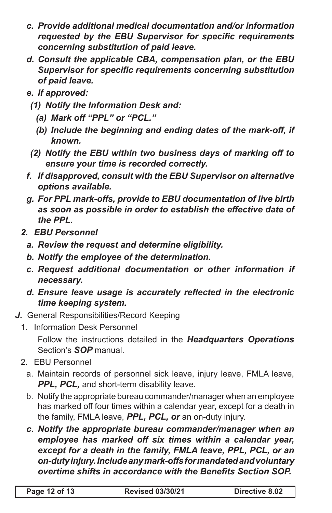- *c. Provide additional medical documentation and/or information requested by the EBU Supervisor for specific requirements concerning substitution of paid leave.*
- *d. Consult the applicable CBA, compensation plan, or the EBU Supervisor for specific requirements concerning substitution of paid leave.*
- *e. If approved:*
	- *(1) Notify the Information Desk and:*
		- *(a) Mark off "PPL" or "PCL."*
		- *(b) Include the beginning and ending dates of the mark-off, if known.*
	- *(2) Notify the EBU within two business days of marking off to ensure your time is recorded correctly.*
- *f. If disapproved, consult with the EBU Supervisor on alternative options available.*
- *g. For PPL mark-offs, provide to EBU documentation of live birth as soon as possible in order to establish the effective date of the PPL.*
- *2. EBU Personnel*
	- *a. Review the request and determine eligibility.*
	- *b. Notify the employee of the determination.*
	- *c. Request additional documentation or other information if necessary.*
	- *d. Ensure leave usage is accurately reflected in the electronic time keeping system.*
- *J.* General Responsibilities/Record Keeping
	- 1. Information Desk Personnel

Follow the instructions detailed in the *Headquarters Operations*  Section's *SOP* manual.

- 2. EBU Personnel
	- a. Maintain records of personnel sick leave, injury leave, FMLA leave, **PPL, PCL, and short-term disability leave.**
	- b. Notify the appropriate bureau commander/manager when an employee has marked off four times within a calendar year, except for a death in the family, FMLA leave, *PPL, PCL, or* an on-duty injury.
	- *c. Notify the appropriate bureau commander/manager when an employee has marked off six times within a calendar year,*  except for a death in the family, FMLA leave, PPL, PCL, or an *on-duty injury. Include any mark-offs for mandated and voluntary overtime shifts in accordance with the Benefits Section SOP.*